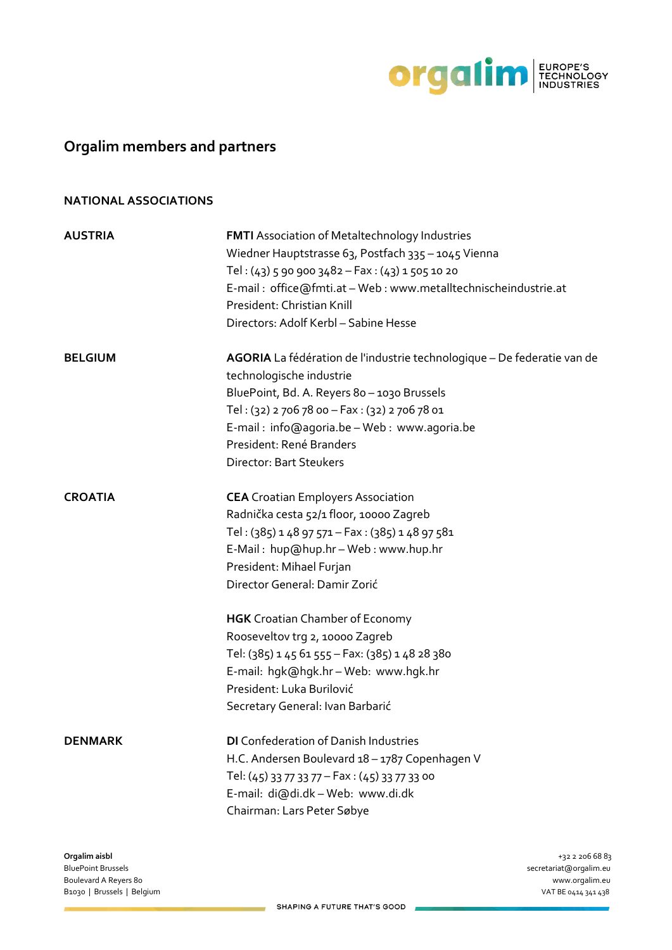

# **Orgalim members and partners**

### **NATIONAL ASSOCIATIONS**

| <b>AUSTRIA</b> | <b>FMTI</b> Association of Metaltechnology Industries<br>Wiedner Hauptstrasse 63, Postfach 335 - 1045 Vienna |
|----------------|--------------------------------------------------------------------------------------------------------------|
|                | Tel: $(43)$ 5 90 900 3482 - Fax: $(43)$ 1 505 10 20                                                          |
|                | E-mail: office@fmti.at - Web: www.metalltechnischeindustrie.at                                               |
|                | President: Christian Knill                                                                                   |
|                | Directors: Adolf Kerbl - Sabine Hesse                                                                        |
| <b>BELGIUM</b> | AGORIA La fédération de l'industrie technologique - De federatie van de                                      |
|                | technologische industrie                                                                                     |
|                | BluePoint, Bd. A. Reyers 80 - 1030 Brussels                                                                  |
|                | Tel: (32) 2 706 78 00 - Fax: (32) 2 706 78 01                                                                |
|                | E-mail: info@agoria.be - Web: www.agoria.be                                                                  |
|                | President: René Branders                                                                                     |
|                | <b>Director: Bart Steukers</b>                                                                               |
| <b>CROATIA</b> | <b>CEA</b> Croatian Employers Association                                                                    |
|                | Radnička cesta 52/1 floor, 10000 Zagreb                                                                      |
|                | Tel: $(385)$ 1 48 97 571 – Fax: $(385)$ 1 48 97 581                                                          |
|                | E-Mail: hup@hup.hr - Web: www.hup.hr                                                                         |
|                | President: Mihael Furjan                                                                                     |
|                | Director General: Damir Zorić                                                                                |
|                | <b>HGK</b> Croatian Chamber of Economy                                                                       |
|                | Rooseveltov trg 2, 10000 Zagreb                                                                              |
|                | Tel: (385) 1 45 61 555 - Fax: (385) 1 48 28 380                                                              |
|                | E-mail: hgk@hgk.hr-Web: www.hgk.hr                                                                           |
|                | President: Luka Burilović                                                                                    |
|                | Secretary General: Ivan Barbarić                                                                             |
| <b>DENMARK</b> | <b>DI</b> Confederation of Danish Industries                                                                 |
|                | H.C. Andersen Boulevard 18 - 1787 Copenhagen V                                                               |
|                | Tel: (45) 33 77 33 77 - Fax: (45) 33 77 33 00                                                                |
|                | E-mail: di@di.dk-Web: www.di.dk                                                                              |
|                | Chairman: Lars Peter Søbye                                                                                   |
|                |                                                                                                              |

BluePoint Brussels secretariat@orgalim.eu Boulevard A Reyers 80 www.orgalim.eu B1030 | Brussels | Belgium VAT BE 0414 341 438

**Orgalim aisbl** +32 2 206 68 83

 $\overline{a}$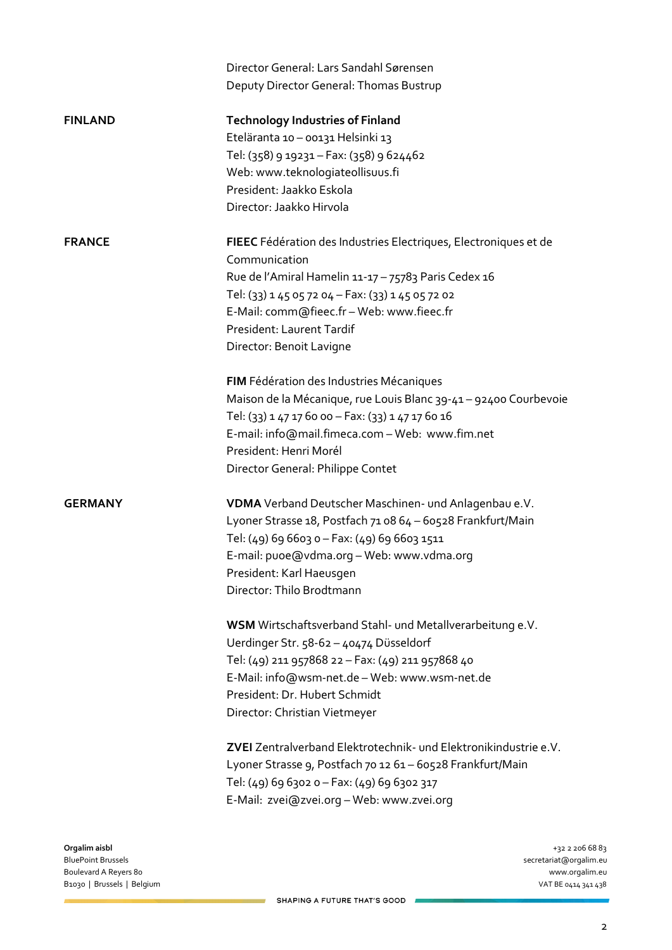| <b>Technology Industries of Finland</b><br><b>FINLAND</b><br>Eteläranta 10 - 00131 Helsinki 13<br>Tel: (358) 9 19231 - Fax: (358) 9 624462<br>Web: www.teknologiateollisuus.fi<br>President: Jaakko Eskola<br>Director: Jaakko Hirvola<br><b>FRANCE</b><br>FIEEC Fédération des Industries Electriques, Electroniques et de<br>Communication<br>Rue de l'Amiral Hamelin 11-17 - 75783 Paris Cedex 16<br>Tel: (33) 1 45 05 72 04 - Fax: (33) 1 45 05 72 02<br>E-Mail: comm@fieec.fr - Web: www.fieec.fr<br>President: Laurent Tardif<br>Director: Benoit Lavigne<br>FIM Fédération des Industries Mécaniques<br>Maison de la Mécanique, rue Louis Blanc 39-41 – 92400 Courbevoie<br>Tel: (33) 1 47 17 60 00 - Fax: (33) 1 47 17 60 16<br>E-mail: info@mail.fimeca.com - Web: www.fim.net<br>President: Henri Morél<br>Director General: Philippe Contet<br>VDMA Verband Deutscher Maschinen- und Anlagenbau e.V.<br><b>GERMANY</b><br>Lyoner Strasse 18, Postfach 71 08 64 - 60528 Frankfurt/Main<br>Tel: (49) 69 6603 0 - Fax: (49) 69 6603 1511<br>E-mail: puoe@vdma.org - Web: www.vdma.org<br>President: Karl Haeusgen<br>Director: Thilo Brodtmann<br>WSM Wirtschaftsverband Stahl- und Metallverarbeitung e.V.<br>Uerdinger Str. 58-62 - 40474 Düsseldorf<br>Tel: (49) 211 957868 22 - Fax: (49) 211 957868 40<br>E-Mail: info@wsm-net.de - Web: www.wsm-net.de<br>President: Dr. Hubert Schmidt<br>Director: Christian Vietmeyer<br><b>ZVEI</b> Zentralverband Elektrotechnik- und Elektronikindustrie e.V.<br>Lyoner Strasse 9, Postfach 70 12 61 - 60528 Frankfurt/Main<br>Tel: (49) 69 6302 0 - Fax: (49) 69 6302 317<br>E-Mail: zvei@zvei.org - Web: www.zvei.org |               | Director General: Lars Sandahl Sørensen<br>Deputy Director General: Thomas Bustrup |
|-----------------------------------------------------------------------------------------------------------------------------------------------------------------------------------------------------------------------------------------------------------------------------------------------------------------------------------------------------------------------------------------------------------------------------------------------------------------------------------------------------------------------------------------------------------------------------------------------------------------------------------------------------------------------------------------------------------------------------------------------------------------------------------------------------------------------------------------------------------------------------------------------------------------------------------------------------------------------------------------------------------------------------------------------------------------------------------------------------------------------------------------------------------------------------------------------------------------------------------------------------------------------------------------------------------------------------------------------------------------------------------------------------------------------------------------------------------------------------------------------------------------------------------------------------------------------------------------------------------------------------------------------------------------------------|---------------|------------------------------------------------------------------------------------|
|                                                                                                                                                                                                                                                                                                                                                                                                                                                                                                                                                                                                                                                                                                                                                                                                                                                                                                                                                                                                                                                                                                                                                                                                                                                                                                                                                                                                                                                                                                                                                                                                                                                                             |               |                                                                                    |
|                                                                                                                                                                                                                                                                                                                                                                                                                                                                                                                                                                                                                                                                                                                                                                                                                                                                                                                                                                                                                                                                                                                                                                                                                                                                                                                                                                                                                                                                                                                                                                                                                                                                             |               |                                                                                    |
|                                                                                                                                                                                                                                                                                                                                                                                                                                                                                                                                                                                                                                                                                                                                                                                                                                                                                                                                                                                                                                                                                                                                                                                                                                                                                                                                                                                                                                                                                                                                                                                                                                                                             |               |                                                                                    |
|                                                                                                                                                                                                                                                                                                                                                                                                                                                                                                                                                                                                                                                                                                                                                                                                                                                                                                                                                                                                                                                                                                                                                                                                                                                                                                                                                                                                                                                                                                                                                                                                                                                                             |               |                                                                                    |
|                                                                                                                                                                                                                                                                                                                                                                                                                                                                                                                                                                                                                                                                                                                                                                                                                                                                                                                                                                                                                                                                                                                                                                                                                                                                                                                                                                                                                                                                                                                                                                                                                                                                             |               |                                                                                    |
|                                                                                                                                                                                                                                                                                                                                                                                                                                                                                                                                                                                                                                                                                                                                                                                                                                                                                                                                                                                                                                                                                                                                                                                                                                                                                                                                                                                                                                                                                                                                                                                                                                                                             |               |                                                                                    |
|                                                                                                                                                                                                                                                                                                                                                                                                                                                                                                                                                                                                                                                                                                                                                                                                                                                                                                                                                                                                                                                                                                                                                                                                                                                                                                                                                                                                                                                                                                                                                                                                                                                                             |               |                                                                                    |
|                                                                                                                                                                                                                                                                                                                                                                                                                                                                                                                                                                                                                                                                                                                                                                                                                                                                                                                                                                                                                                                                                                                                                                                                                                                                                                                                                                                                                                                                                                                                                                                                                                                                             |               |                                                                                    |
|                                                                                                                                                                                                                                                                                                                                                                                                                                                                                                                                                                                                                                                                                                                                                                                                                                                                                                                                                                                                                                                                                                                                                                                                                                                                                                                                                                                                                                                                                                                                                                                                                                                                             |               |                                                                                    |
|                                                                                                                                                                                                                                                                                                                                                                                                                                                                                                                                                                                                                                                                                                                                                                                                                                                                                                                                                                                                                                                                                                                                                                                                                                                                                                                                                                                                                                                                                                                                                                                                                                                                             |               |                                                                                    |
|                                                                                                                                                                                                                                                                                                                                                                                                                                                                                                                                                                                                                                                                                                                                                                                                                                                                                                                                                                                                                                                                                                                                                                                                                                                                                                                                                                                                                                                                                                                                                                                                                                                                             |               |                                                                                    |
|                                                                                                                                                                                                                                                                                                                                                                                                                                                                                                                                                                                                                                                                                                                                                                                                                                                                                                                                                                                                                                                                                                                                                                                                                                                                                                                                                                                                                                                                                                                                                                                                                                                                             |               |                                                                                    |
|                                                                                                                                                                                                                                                                                                                                                                                                                                                                                                                                                                                                                                                                                                                                                                                                                                                                                                                                                                                                                                                                                                                                                                                                                                                                                                                                                                                                                                                                                                                                                                                                                                                                             |               |                                                                                    |
|                                                                                                                                                                                                                                                                                                                                                                                                                                                                                                                                                                                                                                                                                                                                                                                                                                                                                                                                                                                                                                                                                                                                                                                                                                                                                                                                                                                                                                                                                                                                                                                                                                                                             |               |                                                                                    |
|                                                                                                                                                                                                                                                                                                                                                                                                                                                                                                                                                                                                                                                                                                                                                                                                                                                                                                                                                                                                                                                                                                                                                                                                                                                                                                                                                                                                                                                                                                                                                                                                                                                                             |               |                                                                                    |
|                                                                                                                                                                                                                                                                                                                                                                                                                                                                                                                                                                                                                                                                                                                                                                                                                                                                                                                                                                                                                                                                                                                                                                                                                                                                                                                                                                                                                                                                                                                                                                                                                                                                             |               |                                                                                    |
|                                                                                                                                                                                                                                                                                                                                                                                                                                                                                                                                                                                                                                                                                                                                                                                                                                                                                                                                                                                                                                                                                                                                                                                                                                                                                                                                                                                                                                                                                                                                                                                                                                                                             |               |                                                                                    |
|                                                                                                                                                                                                                                                                                                                                                                                                                                                                                                                                                                                                                                                                                                                                                                                                                                                                                                                                                                                                                                                                                                                                                                                                                                                                                                                                                                                                                                                                                                                                                                                                                                                                             |               |                                                                                    |
|                                                                                                                                                                                                                                                                                                                                                                                                                                                                                                                                                                                                                                                                                                                                                                                                                                                                                                                                                                                                                                                                                                                                                                                                                                                                                                                                                                                                                                                                                                                                                                                                                                                                             |               |                                                                                    |
|                                                                                                                                                                                                                                                                                                                                                                                                                                                                                                                                                                                                                                                                                                                                                                                                                                                                                                                                                                                                                                                                                                                                                                                                                                                                                                                                                                                                                                                                                                                                                                                                                                                                             |               |                                                                                    |
|                                                                                                                                                                                                                                                                                                                                                                                                                                                                                                                                                                                                                                                                                                                                                                                                                                                                                                                                                                                                                                                                                                                                                                                                                                                                                                                                                                                                                                                                                                                                                                                                                                                                             |               |                                                                                    |
|                                                                                                                                                                                                                                                                                                                                                                                                                                                                                                                                                                                                                                                                                                                                                                                                                                                                                                                                                                                                                                                                                                                                                                                                                                                                                                                                                                                                                                                                                                                                                                                                                                                                             |               |                                                                                    |
|                                                                                                                                                                                                                                                                                                                                                                                                                                                                                                                                                                                                                                                                                                                                                                                                                                                                                                                                                                                                                                                                                                                                                                                                                                                                                                                                                                                                                                                                                                                                                                                                                                                                             |               |                                                                                    |
|                                                                                                                                                                                                                                                                                                                                                                                                                                                                                                                                                                                                                                                                                                                                                                                                                                                                                                                                                                                                                                                                                                                                                                                                                                                                                                                                                                                                                                                                                                                                                                                                                                                                             |               |                                                                                    |
|                                                                                                                                                                                                                                                                                                                                                                                                                                                                                                                                                                                                                                                                                                                                                                                                                                                                                                                                                                                                                                                                                                                                                                                                                                                                                                                                                                                                                                                                                                                                                                                                                                                                             |               |                                                                                    |
|                                                                                                                                                                                                                                                                                                                                                                                                                                                                                                                                                                                                                                                                                                                                                                                                                                                                                                                                                                                                                                                                                                                                                                                                                                                                                                                                                                                                                                                                                                                                                                                                                                                                             |               |                                                                                    |
|                                                                                                                                                                                                                                                                                                                                                                                                                                                                                                                                                                                                                                                                                                                                                                                                                                                                                                                                                                                                                                                                                                                                                                                                                                                                                                                                                                                                                                                                                                                                                                                                                                                                             |               |                                                                                    |
|                                                                                                                                                                                                                                                                                                                                                                                                                                                                                                                                                                                                                                                                                                                                                                                                                                                                                                                                                                                                                                                                                                                                                                                                                                                                                                                                                                                                                                                                                                                                                                                                                                                                             |               |                                                                                    |
|                                                                                                                                                                                                                                                                                                                                                                                                                                                                                                                                                                                                                                                                                                                                                                                                                                                                                                                                                                                                                                                                                                                                                                                                                                                                                                                                                                                                                                                                                                                                                                                                                                                                             |               |                                                                                    |
|                                                                                                                                                                                                                                                                                                                                                                                                                                                                                                                                                                                                                                                                                                                                                                                                                                                                                                                                                                                                                                                                                                                                                                                                                                                                                                                                                                                                                                                                                                                                                                                                                                                                             |               |                                                                                    |
|                                                                                                                                                                                                                                                                                                                                                                                                                                                                                                                                                                                                                                                                                                                                                                                                                                                                                                                                                                                                                                                                                                                                                                                                                                                                                                                                                                                                                                                                                                                                                                                                                                                                             |               |                                                                                    |
|                                                                                                                                                                                                                                                                                                                                                                                                                                                                                                                                                                                                                                                                                                                                                                                                                                                                                                                                                                                                                                                                                                                                                                                                                                                                                                                                                                                                                                                                                                                                                                                                                                                                             |               |                                                                                    |
|                                                                                                                                                                                                                                                                                                                                                                                                                                                                                                                                                                                                                                                                                                                                                                                                                                                                                                                                                                                                                                                                                                                                                                                                                                                                                                                                                                                                                                                                                                                                                                                                                                                                             |               |                                                                                    |
|                                                                                                                                                                                                                                                                                                                                                                                                                                                                                                                                                                                                                                                                                                                                                                                                                                                                                                                                                                                                                                                                                                                                                                                                                                                                                                                                                                                                                                                                                                                                                                                                                                                                             |               |                                                                                    |
|                                                                                                                                                                                                                                                                                                                                                                                                                                                                                                                                                                                                                                                                                                                                                                                                                                                                                                                                                                                                                                                                                                                                                                                                                                                                                                                                                                                                                                                                                                                                                                                                                                                                             |               |                                                                                    |
| <b>BluePoint Brussels</b><br>secretariat@orgalim.eu                                                                                                                                                                                                                                                                                                                                                                                                                                                                                                                                                                                                                                                                                                                                                                                                                                                                                                                                                                                                                                                                                                                                                                                                                                                                                                                                                                                                                                                                                                                                                                                                                         | Orgalim aisbl | +32 2 206 68 83                                                                    |

Boulevard A Reyers 80 www.orgalim.eu<br>
Boulevard A Reyers 80 www.orgalim.eu<br>
Boulevard A Reyers 80 www.orgalim.eu B1030 | Brussels | Belgium

secretariat@orgalim.eu<br>www.orgalim.eu

SHAPING A FUTURE THAT'S GOOD

 $\mathcal{L}$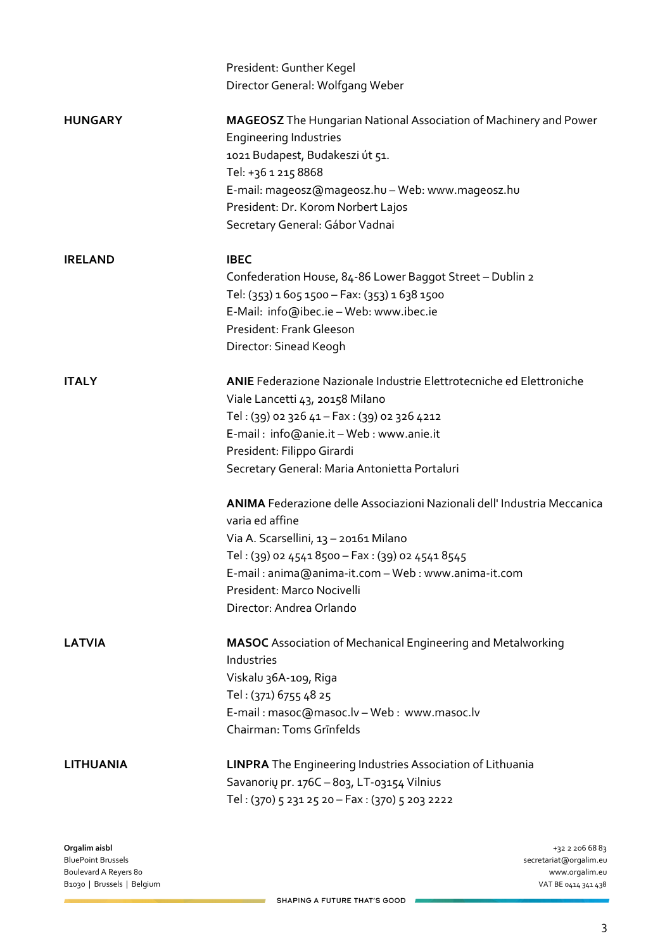|                  | President: Gunther Kegel                                                    |
|------------------|-----------------------------------------------------------------------------|
|                  | Director General: Wolfgang Weber                                            |
| <b>HUNGARY</b>   | <b>MAGEOSZ</b> The Hungarian National Association of Machinery and Power    |
|                  | <b>Engineering Industries</b>                                               |
|                  | 1021 Budapest, Budakeszi út 51.                                             |
|                  | Tel: +36 1 215 8868                                                         |
|                  | E-mail: mageosz@mageosz.hu - Web: www.mageosz.hu                            |
|                  | President: Dr. Korom Norbert Lajos                                          |
|                  | Secretary General: Gábor Vadnai                                             |
| <b>IRELAND</b>   | <b>IBEC</b>                                                                 |
|                  | Confederation House, 84-86 Lower Baggot Street - Dublin 2                   |
|                  | Tel: (353) 1 605 1500 - Fax: (353) 1 638 1500                               |
|                  | E-Mail: info@ibec.ie - Web: www.ibec.ie                                     |
|                  | President: Frank Gleeson                                                    |
|                  | Director: Sinead Keogh                                                      |
| <b>ITALY</b>     | <b>ANIE</b> Federazione Nazionale Industrie Elettrotecniche ed Elettroniche |
|                  | Viale Lancetti 43, 20158 Milano                                             |
|                  | Tel: (39) 02 326 41 - Fax: (39) 02 326 4212                                 |
|                  | E-mail: info@anie.it - Web: www.anie.it                                     |
|                  | President: Filippo Girardi                                                  |
|                  | Secretary General: Maria Antonietta Portaluri                               |
|                  | ANIMA Federazione delle Associazioni Nazionali dell'Industria Meccanica     |
|                  | varia ed affine                                                             |
|                  | Via A. Scarsellini, 13 - 20161 Milano                                       |
|                  | Tel: (39) 02 4541 8500 - Fax: (39) 02 4541 8545                             |
|                  | E-mail: anima@anima-it.com - Web: www.anima-it.com                          |
|                  | President: Marco Nocivelli                                                  |
|                  | Director: Andrea Orlando                                                    |
| <b>LATVIA</b>    | <b>MASOC</b> Association of Mechanical Engineering and Metalworking         |
|                  | Industries                                                                  |
|                  | Viskalu 36A-109, Riga                                                       |
|                  | Tel: (371) 6755 48 25                                                       |
|                  | E-mail: masoc@masoc.lv - Web: www.masoc.lv                                  |
|                  | Chairman: Toms Grinfelds                                                    |
| <b>LITHUANIA</b> | <b>LINPRA</b> The Engineering Industries Association of Lithuania           |
|                  | Savanorių pr. 176C - 803, LT-03154 Vilnius                                  |
|                  | Tel: (370) 5 231 25 20 - Fax: (370) 5 203 2222                              |
|                  |                                                                             |

**Orgalim aisbl** +32 2 206 68 83 Boulevard A Reyers 80 www.orgalim.eu<br>
Boulevard A Reyers 80 www.orgalim.eu<br>
Boulevard A Reyers 80 www.orgalim.eu B1030 | Brussels | Belgium

secretariat@orgalim.eu<br>www.orgalim.eu

SHAPING A FUTURE THAT'S GOOD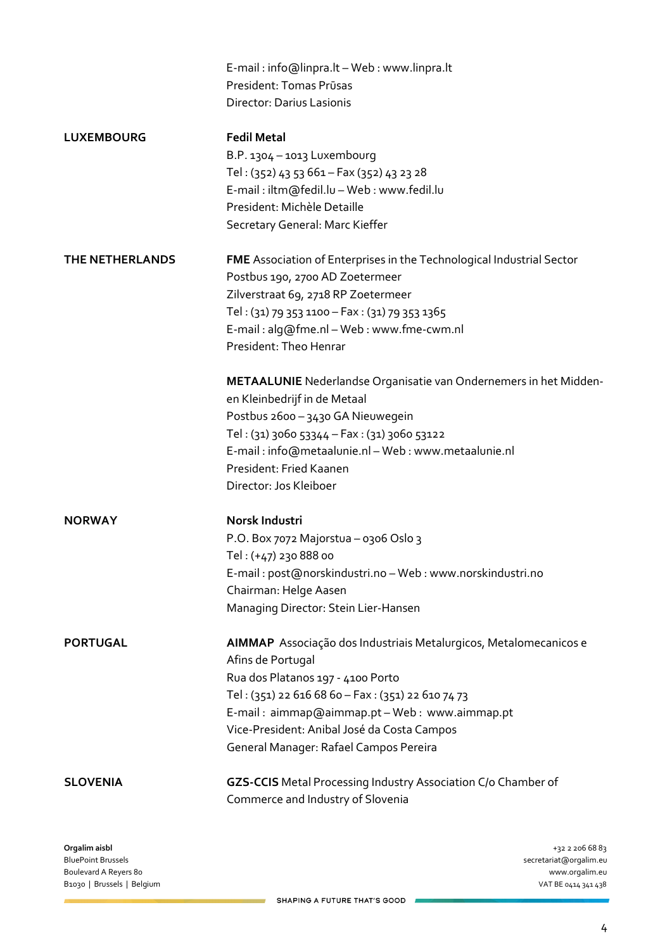|                   | E-mail: info@linpra.lt - Web: www.linpra.lt                           |
|-------------------|-----------------------------------------------------------------------|
|                   | President: Tomas Prūsas                                               |
|                   | <b>Director: Darius Lasionis</b>                                      |
| <b>LUXEMBOURG</b> | <b>Fedil Metal</b>                                                    |
|                   | B.P. 1304 - 1013 Luxembourg                                           |
|                   | Tel: (352) 43 53 661 - Fax (352) 43 23 28                             |
|                   | E-mail: iltm@fedil.lu - Web: www.fedil.lu                             |
|                   | President: Michèle Detaille                                           |
|                   | Secretary General: Marc Kieffer                                       |
| THE NETHERLANDS   | FME Association of Enterprises in the Technological Industrial Sector |
|                   | Postbus 190, 2700 AD Zoetermeer                                       |
|                   | Zilverstraat 69, 2718 RP Zoetermeer                                   |
|                   | Tel: (31) 79 353 1100 - Fax: (31) 79 353 1365                         |
|                   | E-mail: alg@fme.nl - Web: www.fme-cwm.nl                              |
|                   | President: Theo Henrar                                                |
|                   | METAALUNIE Nederlandse Organisatie van Ondernemers in het Midden-     |
|                   | en Kleinbedrijf in de Metaal                                          |
|                   | Postbus 2600 - 3430 GA Nieuwegein                                     |
|                   | Tel: (31) 3060 53344 - Fax: (31) 3060 53122                           |
|                   | E-mail: info@metaalunie.nl - Web: www.metaalunie.nl                   |
|                   | President: Fried Kaanen                                               |
|                   | Director: Jos Kleiboer                                                |
| <b>NORWAY</b>     | Norsk Industri                                                        |
|                   | P.O. Box 7072 Majorstua - 0306 Oslo 3                                 |
|                   | Tel: (+47) 230 888 00                                                 |
|                   | E-mail: post@norskindustri.no - Web: www.norskindustri.no             |
|                   | Chairman: Helge Aasen                                                 |
|                   | Managing Director: Stein Lier-Hansen                                  |
| <b>PORTUGAL</b>   | AIMMAP Associação dos Industriais Metalurgicos, Metalomecanicos e     |
|                   | Afins de Portugal                                                     |
|                   | Rua dos Platanos 197 - 4100 Porto                                     |
|                   | Tel: (351) 22 616 68 60 - Fax: (351) 22 610 74 73                     |
|                   | E-mail: aimmap@aimmap.pt - Web: www.aimmap.pt                         |
|                   | Vice-President: Anibal José da Costa Campos                           |
|                   | General Manager: Rafael Campos Pereira                                |
| <b>SLOVENIA</b>   | GZS-CCIS Metal Processing Industry Association C/o Chamber of         |
|                   | Commerce and Industry of Slovenia                                     |
|                   |                                                                       |

**Orgalim aisbl** +32 2 206 68 83 Boulevard A Reyers 80 www.orgalim.eu<br>
Boulevard A Reyers 80 www.orgalim.eu<br>
Boulevard A Reyers 80 www.orgalim.eu B1030 | Brussels | Belgium

secretariat@orgalim.eu<br>www.orgalim.eu

SHAPING A FUTURE THAT'S GOOD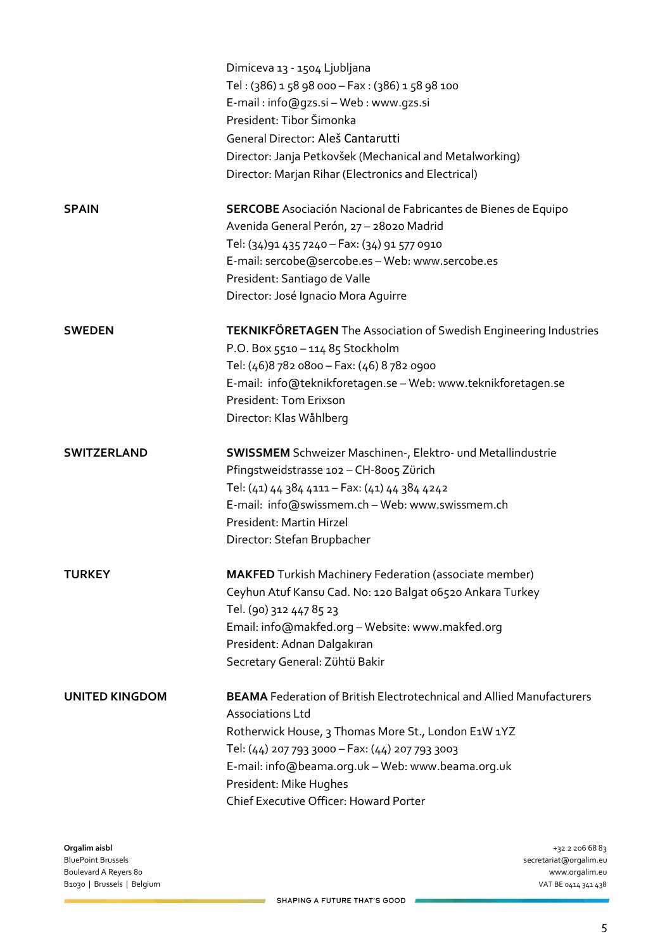|                       | Dimiceva 13 - 1504 Ljubljana<br>Tel: (386) 158 98 000 - Fax: (386) 158 98 100<br>E-mail: info@gzs.si - Web: www.gzs.si<br>President: Tibor Šimonka<br>General Director: Aleš Cantarutti<br>Director: Janja Petkovšek (Mechanical and Metalworking)<br>Director: Marjan Rihar (Electronics and Electrical)                                  |
|-----------------------|--------------------------------------------------------------------------------------------------------------------------------------------------------------------------------------------------------------------------------------------------------------------------------------------------------------------------------------------|
| <b>SPAIN</b>          | <b>SERCOBE</b> Asociación Nacional de Fabricantes de Bienes de Equipo<br>Avenida General Perón, 27 - 28020 Madrid<br>Tel: (34)91 435 7240 - Fax: (34) 91 577 0910<br>E-mail: sercobe@sercobe.es - Web: www.sercobe.es<br>President: Santiago de Valle<br>Director: José Ignacio Mora Aguirre                                               |
| <b>SWEDEN</b>         | <b>TEKNIKFÖRETAGEN</b> The Association of Swedish Engineering Industries<br>P.O. Box 5510 - 114 85 Stockholm<br>Tel: (46)8 782 0800 - Fax: (46) 8 782 0900<br>E-mail: info@teknikforetagen.se - Web: www.teknikforetagen.se<br>President: Tom Erixson<br>Director: Klas Wåhlberg                                                           |
| <b>SWITZERLAND</b>    | <b>SWISSMEM</b> Schweizer Maschinen-, Elektro- und Metallindustrie<br>Pfingstweidstrasse 102 - CH-8005 Zürich<br>Tel: (41) 44 384 4111 - Fax: (41) 44 384 4242<br>E-mail: info@swissmem.ch - Web: www.swissmem.ch<br>President: Martin Hirzel<br>Director: Stefan Brupbacher                                                               |
| <b>TURKEY</b>         | <b>MAKFED</b> Turkish Machinery Federation (associate member)<br>Ceyhun Atuf Kansu Cad. No: 120 Balgat 06520 Ankara Turkey<br>Tel. (90) 312 447 85 23<br>Email: info@makfed.org - Website: www.makfed.org<br>President: Adnan Dalgakıran<br>Secretary General: Zühtü Bakir                                                                 |
| <b>UNITED KINGDOM</b> | <b>BEAMA</b> Federation of British Electrotechnical and Allied Manufacturers<br><b>Associations Ltd</b><br>Rotherwick House, 3 Thomas More St., London E1W 1YZ<br>Tel: (44) 207 793 3000 - Fax: (44) 207 793 3003<br>E-mail: info@beama.org.uk - Web: www.beama.org.uk<br>President: Mike Hughes<br>Chief Executive Officer: Howard Porter |

secretariat@orgalim.eu<br>www.orgalim.eu

SHAPING A FUTURE THAT'S GOOD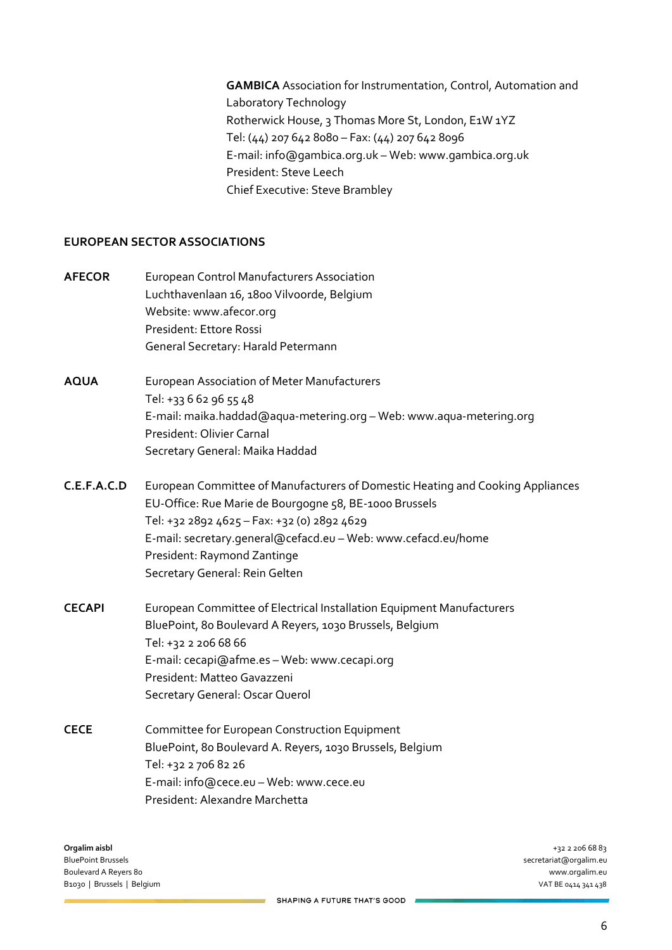**GAMBICA** Association for Instrumentation, Control, Automation and Laboratory Technology Rotherwick House, 3 Thomas More St, London, E1W 1YZ Tel: (44) 207 642 8080 – Fax: (44) 207 642 8096 E-mail: info@gambica.org.uk – Web: www.gambica.org.uk President: Steve Leech Chief Executive: Steve Brambley

# **EUROPEAN SECTOR ASSOCIATIONS**

| <b>AFECOR</b> | <b>European Control Manufacturers Association</b><br>Luchthavenlaan 16, 1800 Vilvoorde, Belgium<br>Website: www.afecor.org<br>President: Ettore Rossi<br>General Secretary: Harald Petermann                                                                                                                              |
|---------------|---------------------------------------------------------------------------------------------------------------------------------------------------------------------------------------------------------------------------------------------------------------------------------------------------------------------------|
| <b>AQUA</b>   | European Association of Meter Manufacturers<br>Tel: +33 6 62 96 55 48<br>E-mail: maika.haddad@aqua-metering.org - Web: www.aqua-metering.org<br>President: Olivier Carnal<br>Secretary General: Maika Haddad                                                                                                              |
| C.E.F.A.C.D   | European Committee of Manufacturers of Domestic Heating and Cooking Appliances<br>EU-Office: Rue Marie de Bourgogne 58, BE-1000 Brussels<br>Tel: +32 2892 4625 - Fax: +32 (0) 2892 4629<br>E-mail: secretary.general@cefacd.eu - Web: www.cefacd.eu/home<br>President: Raymond Zantinge<br>Secretary General: Rein Gelten |
| <b>CECAPI</b> | European Committee of Electrical Installation Equipment Manufacturers<br>BluePoint, 80 Boulevard A Reyers, 1030 Brussels, Belgium<br>Tel: +32 2 206 68 66<br>E-mail: cecapi@afme.es - Web: www.cecapi.org<br>President: Matteo Gavazzeni<br>Secretary General: Oscar Querol                                               |
| <b>CECE</b>   | Committee for European Construction Equipment<br>BluePoint, 80 Boulevard A. Reyers, 1030 Brussels, Belgium<br>Tel: +32 2 706 82 26<br>E-mail: info@cece.eu - Web: www.cece.eu<br>President: Alexandre Marchetta                                                                                                           |

**Orgalim aisbl** +32 2 206 68 83 Boulevard A Reyers 80 B1030 | Brussels | Belgium VAT BE 0414 341 438

secretariat@orgalim.eu<br>www.orgalim.eu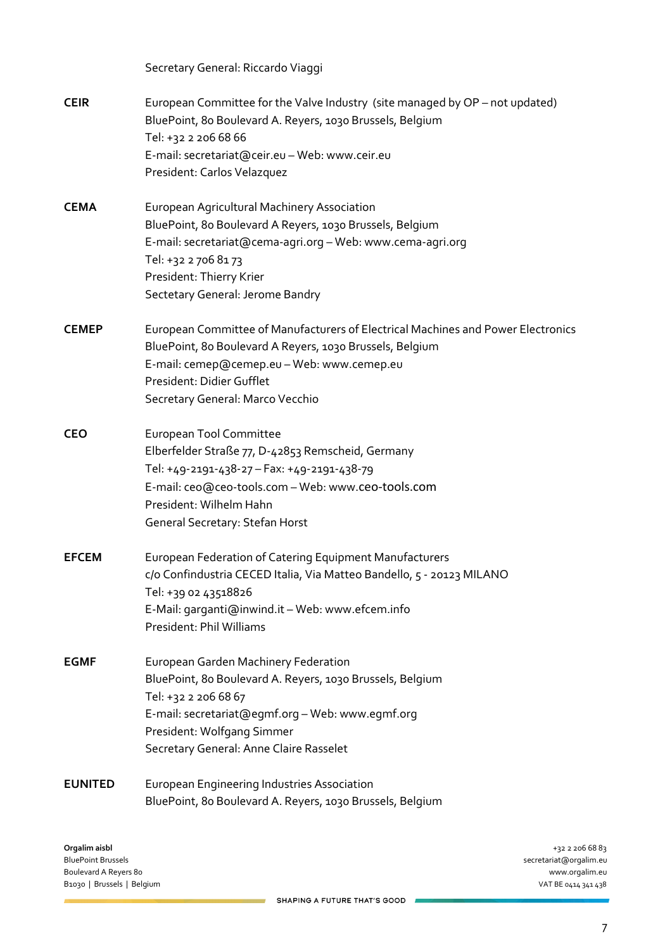|                | Secretary General: Riccardo Viaggi                                                                                                                                                                                                                            |
|----------------|---------------------------------------------------------------------------------------------------------------------------------------------------------------------------------------------------------------------------------------------------------------|
| <b>CEIR</b>    | European Committee for the Valve Industry (site managed by OP - not updated)<br>BluePoint, 80 Boulevard A. Reyers, 1030 Brussels, Belgium<br>Tel: +32 2 206 68 66<br>E-mail: secretariat@ceir.eu - Web: www.ceir.eu<br>President: Carlos Velazquez            |
| <b>CEMA</b>    | European Agricultural Machinery Association<br>BluePoint, 80 Boulevard A Reyers, 1030 Brussels, Belgium<br>E-mail: secretariat@cema-agri.org - Web: www.cema-agri.org<br>Tel: +32 2 706 81 73<br>President: Thierry Krier<br>Sectetary General: Jerome Bandry |
| <b>CEMEP</b>   | European Committee of Manufacturers of Electrical Machines and Power Electronics<br>BluePoint, 80 Boulevard A Reyers, 1030 Brussels, Belgium<br>E-mail: cemep@cemep.eu - Web: www.cemep.eu<br>President: Didier Gufflet<br>Secretary General: Marco Vecchio   |
| <b>CEO</b>     | European Tool Committee<br>Elberfelder Straße 77, D-42853 Remscheid, Germany<br>Tel: +49-2191-438-27 - Fax: +49-2191-438-79<br>E-mail: ceo@ceo-tools.com - Web: www.ceo-tools.com<br>President: Wilhelm Hahn<br>General Secretary: Stefan Horst               |
| <b>EFCEM</b>   | European Federation of Catering Equipment Manufacturers<br>c/o Confindustria CECED Italia, Via Matteo Bandello, 5 - 20123 MILANO<br>Tel: +39 02 43518826<br>E-Mail: garganti@inwind.it - Web: www.efcem.info<br>President: Phil Williams                      |
| <b>EGMF</b>    | <b>European Garden Machinery Federation</b><br>BluePoint, 80 Boulevard A. Reyers, 1030 Brussels, Belgium<br>Tel: +32 2 206 68 67<br>E-mail: secretariat@egmf.org - Web: www.egmf.org<br>President: Wolfgang Simmer<br>Secretary General: Anne Claire Rasselet |
| <b>EUNITED</b> | European Engineering Industries Association<br>BluePoint, 80 Boulevard A. Reyers, 1030 Brussels, Belgium                                                                                                                                                      |

**Orgalim aisbl** +32 2 206 68 83 Boulevard A Reyers 80 www.orgalim.eu<br>
Boulevard A Reyers 80 www.orgalim.eu<br>
Boulevard A Reyers 80 www.orgalim.eu B1030 | Brussels | Belgium

secretariat@orgalim.eu<br>www.orgalim.eu

SHAPING A FUTURE THAT'S GOOD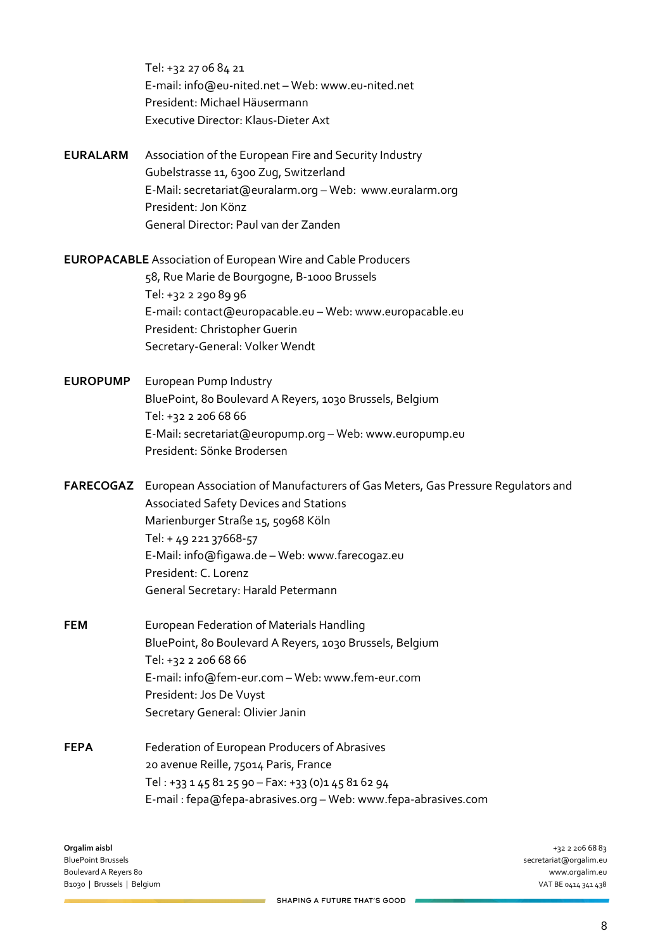Tel: +32 27 06 84 21 E-mail: info@eu-nited.net – Web: www.eu-nited.net President: Michael Häusermann Executive Director: Klaus-Dieter Axt

**EURALARM** Association of the European Fire and Security Industry Gubelstrasse 11, 6300 Zug, Switzerland E-Mail: secretariat@euralarm.org – Web: www.euralarm.org President: Jon Könz General Director: Paul van der Zanden

**EUROPACABLE** Association of European Wire and Cable Producers 58, Rue Marie de Bourgogne, B-1000 Brussels Tel: +32 2 290 89 96 E-mail: contact@europacable.eu – Web: www.europacable.eu President: Christopher Guerin Secretary-General: Volker Wendt

**EUROPUMP** European Pump Industry BluePoint, 80 Boulevard A Reyers, 1030 Brussels, Belgium Tel: +32 2 206 68 66 E-Mail: secretariat@europump.org – Web: www.europump.eu President: Sönke Brodersen

**FARECOGAZ** European Association of Manufacturers of Gas Meters, Gas Pressure Regulators and Associated Safety Devices and Stations Marienburger Straße 15, 50968 Köln Tel: + 49 221 37668-57 E-Mail: info@figawa.de – Web: www.farecogaz.eu President: C. Lorenz General Secretary: Harald Petermann

- **FEM EUR** European Federation of Materials Handling BluePoint, 80 Boulevard A Reyers, 1030 Brussels, Belgium Tel: +32 2 206 68 66 E-mail: info@fem-eur.com – Web: www.fem-eur.com President: Jos De Vuyst Secretary General: Olivier Janin
- **FEPA** Federation of European Producers of Abrasives 20 avenue Reille, 75014 Paris, France Tel : +33 1 45 81 25 90 – Fax: +33 (0)1 45 81 62 94 E-mail : fepa@fepa-abrasives.org – Web: www.fepa-abrasives.com

**Orgalim aisbl** +32 2 206 68 83 BluePoint Brussels secretariat@orgalim.eu Boulevard A Reyers 80 www.orgalim.eu B1030 | Brussels | Belgium VAT BE 0414 341 438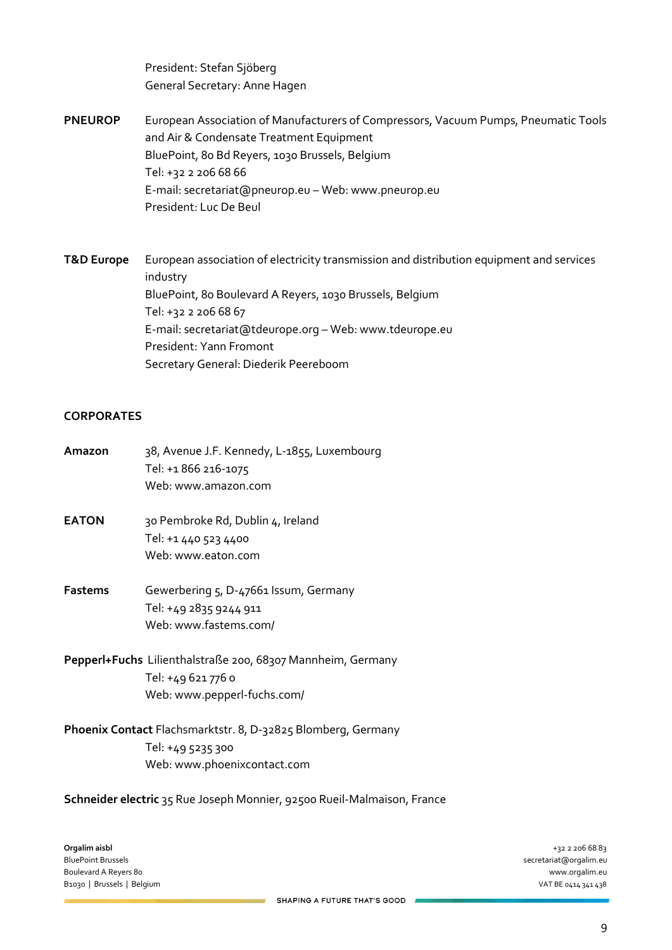President: Stefan Sjöberg General Secretary: Anne Hagen

**PNEUROP** European Association of Manufacturers of Compressors, Vacuum Pumps, Pneumatic Tools and Air & Condensate Treatment Equipment BluePoint, 80 Bd Reyers, 1030 Brussels, Belgium Tel: +32 2 206 68 66 E-mail: secretariat@pneurop.eu – Web: www.pneurop.eu President: Luc De Beul

**T&D Europe** European association of electricity transmission and distribution equipment and services industry BluePoint, 80 Boulevard A Reyers, 1030 Brussels, Belgium Tel: +32 2 206 68 67 E-mail: secretariat@tdeurope.org – Web: www.tdeurope.eu President: Yann Fromont Secretary General: Diederik Peereboom

# **CORPORATES**

| Amazon         | 38, Avenue J.F. Kennedy, L-1855, Luxembourg<br>Tel: +1 866 216-1075<br>Web: www.amazon.com                       |
|----------------|------------------------------------------------------------------------------------------------------------------|
| <b>EATON</b>   | 30 Pembroke Rd, Dublin 4, Ireland<br>Tel: +1 440 523 4400<br>Web: www.eaton.com                                  |
| <b>Fastems</b> | Gewerbering 5, D-47661 Issum, Germany<br>Tel: +49 2835 9244 911<br>Web: www.fastems.com/                         |
|                | Pepperl+Fuchs Lilienthalstraße 200, 68307 Mannheim, Germany<br>Tel: +49 621 776 0<br>Web: www.pepperl-fuchs.com/ |

**Phoenix Contact** Flachsmarktstr. 8, D-32825 Blomberg, Germany Tel: +49 5235 300 Web: www.phoenixcontact.com

**Schneider electric** 35 Rue Joseph Monnier, 92500 Rueil-Malmaison, France

**Orgalim aisbl** +32 2 206 68 83 BluePoint Brussels secretariat@orgalim.eu Boulevard A Reyers 80 B1030 | Brussels | Belgium VAT BE 0414 341 438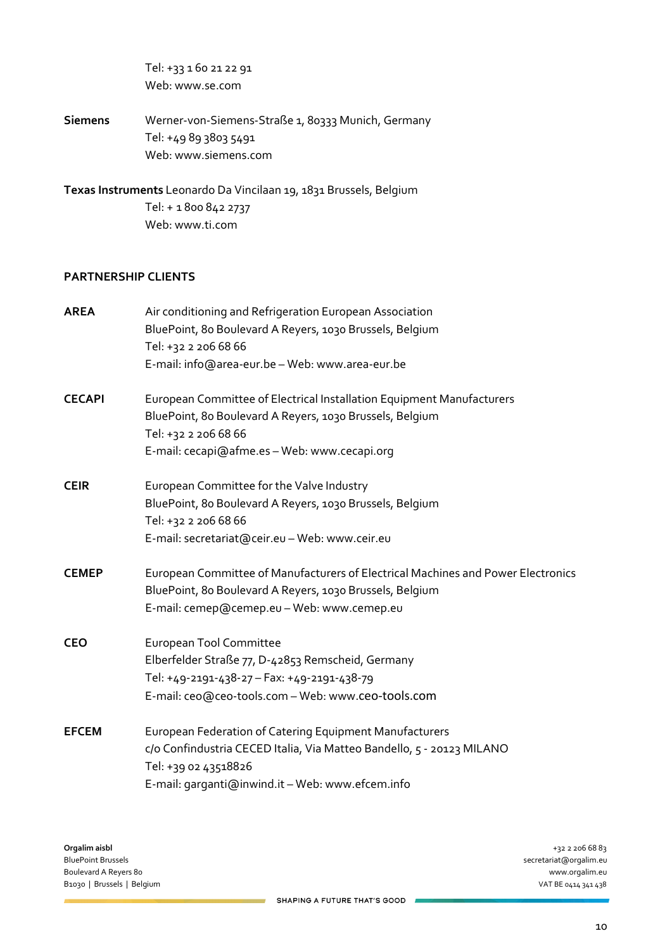Tel: +33 1 60 21 22 91 Web: www.se.com

**Siemens** Werner-von-Siemens-Straße 1, 80333 Munich, Germany Tel: +49 89 3803 5491 Web: www.siemens.com

**Texas Instruments** Leonardo Da Vincilaan 19, 1831 Brussels, Belgium Tel: + 1 800 842 2737 Web: www.ti.com

#### **PARTNERSHIP CLIENTS**

| <b>AREA</b>   | Air conditioning and Refrigeration European Association                          |
|---------------|----------------------------------------------------------------------------------|
|               | BluePoint, 80 Boulevard A Reyers, 1030 Brussels, Belgium                         |
|               | Tel: +32 2 206 68 66                                                             |
|               | E-mail: info@area-eur.be - Web: www.area-eur.be                                  |
| <b>CECAPI</b> | European Committee of Electrical Installation Equipment Manufacturers            |
|               | BluePoint, 80 Boulevard A Reyers, 1030 Brussels, Belgium                         |
|               | Tel: +32 2 206 68 66                                                             |
|               | E-mail: cecapi@afme.es - Web: www.cecapi.org                                     |
| <b>CEIR</b>   | European Committee for the Valve Industry                                        |
|               | BluePoint, 80 Boulevard A Reyers, 1030 Brussels, Belgium                         |
|               | Tel: +32 2 206 68 66                                                             |
|               | E-mail: secretariat@ceir.eu - Web: www.ceir.eu                                   |
| <b>CEMEP</b>  | European Committee of Manufacturers of Electrical Machines and Power Electronics |
|               | BluePoint, 80 Boulevard A Reyers, 1030 Brussels, Belgium                         |
|               | E-mail: cemep@cemep.eu - Web: www.cemep.eu                                       |
| <b>CEO</b>    | European Tool Committee                                                          |
|               | Elberfelder Straße 77, D-42853 Remscheid, Germany                                |
|               | Tel: +49-2191-438-27 - Fax: +49-2191-438-79                                      |
|               | E-mail: ceo@ceo-tools.com - Web: www.ceo-tools.com                               |
| <b>EFCEM</b>  | European Federation of Catering Equipment Manufacturers                          |
|               | c/o Confindustria CECED Italia, Via Matteo Bandello, 5 - 20123 MILANO            |
|               | Tel: +39 02 43518826                                                             |
|               | E-mail: garganti@inwind.it - Web: www.efcem.info                                 |

secretariat@orgalim.eu<br>www.orgalim.eu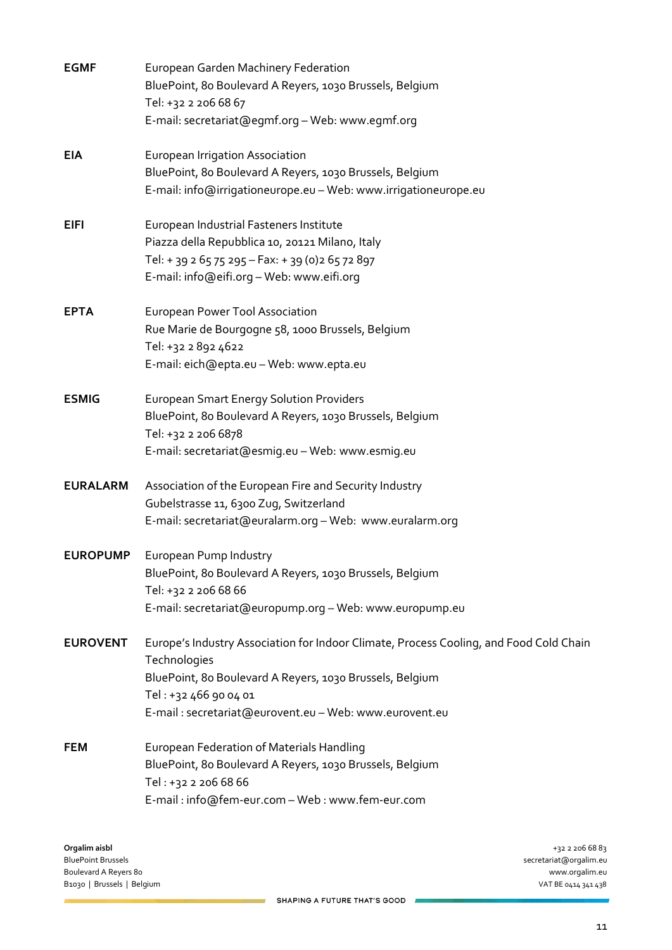| <b>EGMF</b>     | European Garden Machinery Federation<br>BluePoint, 80 Boulevard A Reyers, 1030 Brussels, Belgium |
|-----------------|--------------------------------------------------------------------------------------------------|
|                 | Tel: +32 2 206 68 67                                                                             |
|                 | E-mail: secretariat@egmf.org - Web: www.egmf.org                                                 |
| <b>EIA</b>      | European Irrigation Association                                                                  |
|                 | BluePoint, 80 Boulevard A Reyers, 1030 Brussels, Belgium                                         |
|                 | E-mail: info@irrigationeurope.eu - Web: www.irrigationeurope.eu                                  |
| <b>EIFI</b>     | European Industrial Fasteners Institute                                                          |
|                 | Piazza della Repubblica 10, 20121 Milano, Italy                                                  |
|                 | Tel: + 39 2 65 75 295 - Fax: + 39 (0) 2 65 72 897                                                |
|                 | E-mail: info@eifi.org - Web: www.eifi.org                                                        |
| <b>EPTA</b>     | <b>European Power Tool Association</b>                                                           |
|                 | Rue Marie de Bourgogne 58, 1000 Brussels, Belgium                                                |
|                 | Tel: +32 2 892 4622                                                                              |
|                 | E-mail: eich@epta.eu - Web: www.epta.eu                                                          |
| <b>ESMIG</b>    | <b>European Smart Energy Solution Providers</b>                                                  |
|                 | BluePoint, 80 Boulevard A Reyers, 1030 Brussels, Belgium                                         |
|                 | Tel: +32 2 206 6878                                                                              |
|                 | E-mail: secretariat@esmig.eu - Web: www.esmig.eu                                                 |
| <b>EURALARM</b> | Association of the European Fire and Security Industry                                           |
|                 | Gubelstrasse 11, 6300 Zug, Switzerland                                                           |
|                 | E-mail: secretariat@euralarm.org - Web: www.euralarm.org                                         |
| <b>EUROPUMP</b> | European Pump Industry                                                                           |
|                 | BluePoint, 80 Boulevard A Reyers, 1030 Brussels, Belgium                                         |
|                 | Tel: +32 2 206 68 66                                                                             |
|                 | E-mail: secretariat@europump.org - Web: www.europump.eu                                          |
| <b>EUROVENT</b> | Europe's Industry Association for Indoor Climate, Process Cooling, and Food Cold Chain           |
|                 | Technologies                                                                                     |
|                 | BluePoint, 80 Boulevard A Reyers, 1030 Brussels, Belgium                                         |
|                 | Tel: +32 466 90 04 01                                                                            |
|                 | E-mail: secretariat@eurovent.eu - Web: www.eurovent.eu                                           |
| <b>FEM</b>      | European Federation of Materials Handling                                                        |
|                 | BluePoint, 80 Boulevard A Reyers, 1030 Brussels, Belgium                                         |
|                 | Tel: +32 2 206 68 66                                                                             |
|                 | E-mail: info@fem-eur.com - Web: www.fem-eur.com                                                  |

**Orgalim aisbl** +32 2 206 68 83 Boulevard A Reyers 80 www.orgalim.eu B1030 | Brussels | Belgium

secretariat@orgalim.eu<br>www.orgalim.eu

SHAPING A FUTURE THAT'S GOOD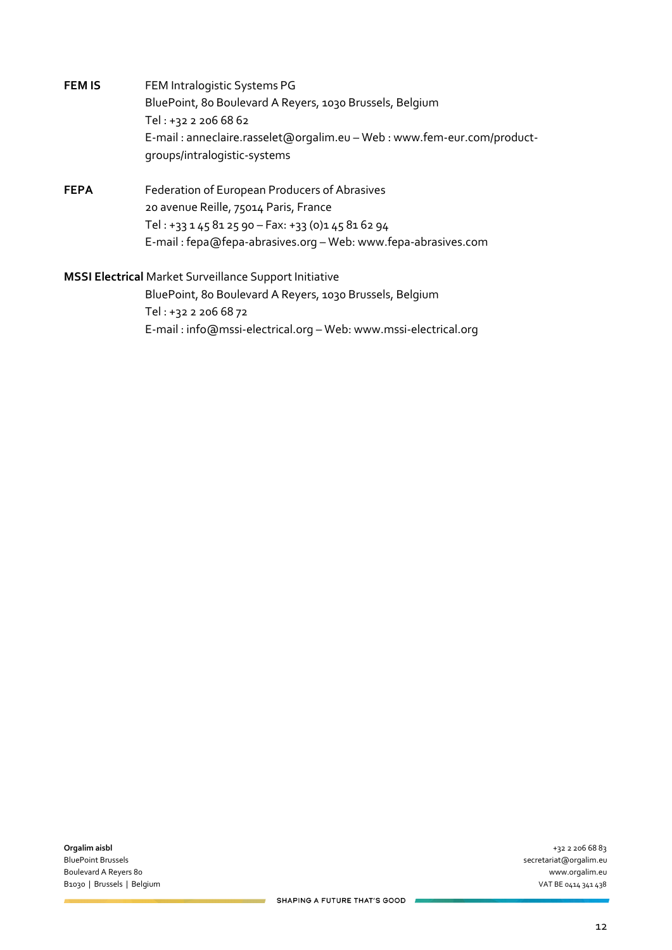- **FEM IS** FEM Intralogistic Systems PG BluePoint, 80 Boulevard A Reyers, 1030 Brussels, Belgium Tel : +32 2 206 68 62 E-mail : anneclaire.rasselet@orgalim.eu – Web : www.fem-eur.com/productgroups/intralogistic-systems
- **FEPA** Federation of European Producers of Abrasives 20 avenue Reille, 75014 Paris, France Tel : +33 1 45 81 25 90 – Fax: +33 (0)1 45 81 62 94 E-mail : fepa@fepa-abrasives.org – Web: www.fepa-abrasives.com

# **MSSI Electrical** Market Surveillance Support Initiative

BluePoint, 80 Boulevard A Reyers, 1030 Brussels, Belgium Tel : +32 2 206 68 72 E-mail : info@mssi-electrical.org – Web: www.mssi-electrical.org

**Orgalim aisbl** +32 2 206 68 83 BluePoint Brussels secretariat@orgalim.eu Boulevard A Reyers 80 www.orgalim.eu B1030 | Brussels | Belgium VAT BE 0414 341 438